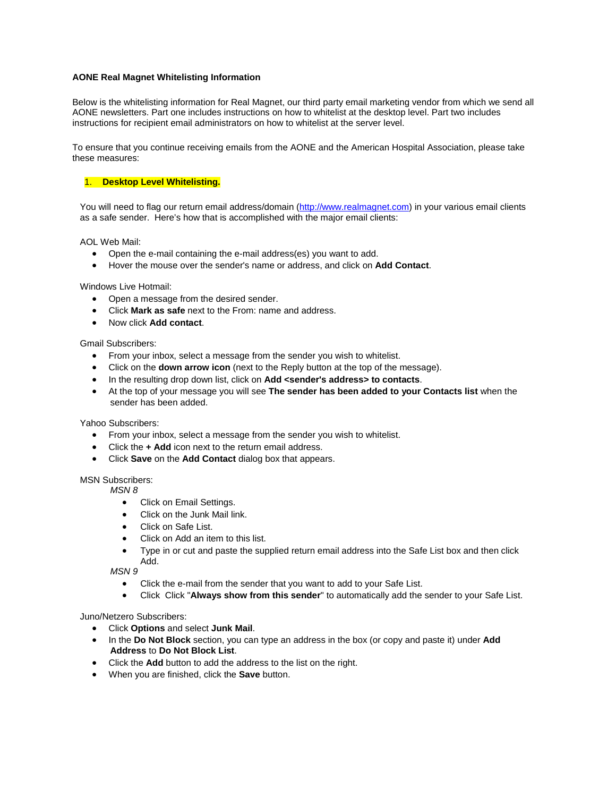# **AONE Real Magnet Whitelisting Information**

Below is the whitelisting information for Real Magnet, our third party email marketing vendor from which we send all AONE newsletters. Part one includes instructions on how to whitelist at the desktop level. Part two includes instructions for recipient email administrators on how to whitelist at the server level.

To ensure that you continue receiving emails from the AONE and the American Hospital Association, please take these measures:

# 1. **Desktop Level Whitelisting.**

You will need to flag our return email address/domain [\(http://www.realmagnet.com\)](http://www.realmagnet.com/) in your various email clients as a safe sender. Here's how that is accomplished with the major email clients:

AOL Web Mail:

- Open the e-mail containing the e-mail address(es) you want to add.
- Hover the mouse over the sender's name or address, and click on **Add Contact**.

Windows Live Hotmail:

- Open a message from the desired sender.
- Click **Mark as safe** next to the From: name and address.
- Now click **Add contact**.

## Gmail Subscribers:

- From your inbox, select a message from the sender you wish to whitelist.
- Click on the **down arrow icon** (next to the Reply button at the top of the message).
- In the resulting drop down list, click on **Add <sender's address> to contacts**.
- At the top of your message you will see **The sender has been added to your Contacts list** when the sender has been added.

Yahoo Subscribers:

- From your inbox, select a message from the sender you wish to whitelist.
- Click the **+ Add** icon next to the return email address.
- Click **Save** on the **Add Contact** dialog box that appears.

#### MSN Subscribers:

*MSN 8*

- Click on Email Settings.
- Click on the Junk Mail link.
- Click on Safe List.
- Click on Add an item to this list.
- Type in or cut and paste the supplied return email address into the Safe List box and then click Add.

*MSN 9*

- Click the e-mail from the sender that you want to add to your Safe List.
- Click Click "**Always show from this sender**" to automatically add the sender to your Safe List.

Juno/Netzero Subscribers:

- Click **Options** and select **Junk Mail**.
- In the **Do Not Block** section, you can type an address in the box (or copy and paste it) under **Add Address** to **Do Not Block List**.
- Click the **Add** button to add the address to the list on the right.
- When you are finished, click the **Save** button.